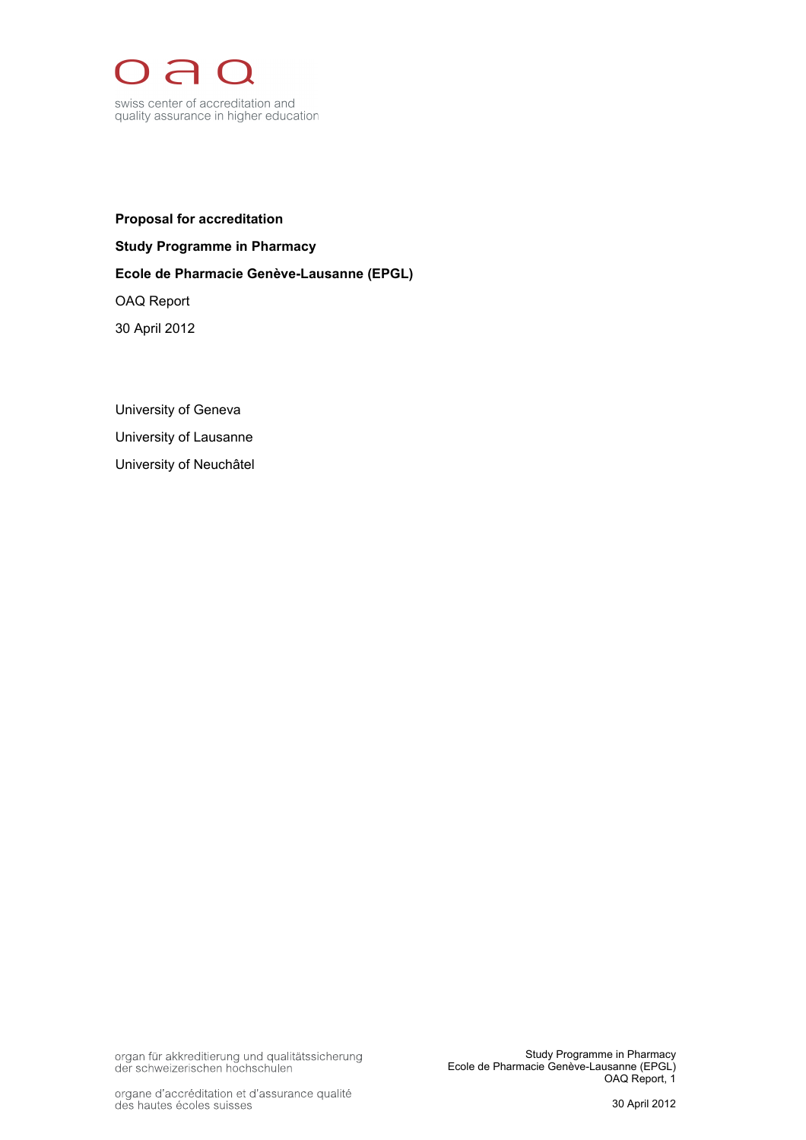

**Proposal for accreditation Study Programme in Pharmacy Ecole de Pharmacie Genève-Lausanne (EPGL)** OAQ Report 30 April 2012

University of Geneva University of Lausanne University of Neuchâtel

organ für akkreditierung und qualitätssicherung<br>der schweizerischen hochschulen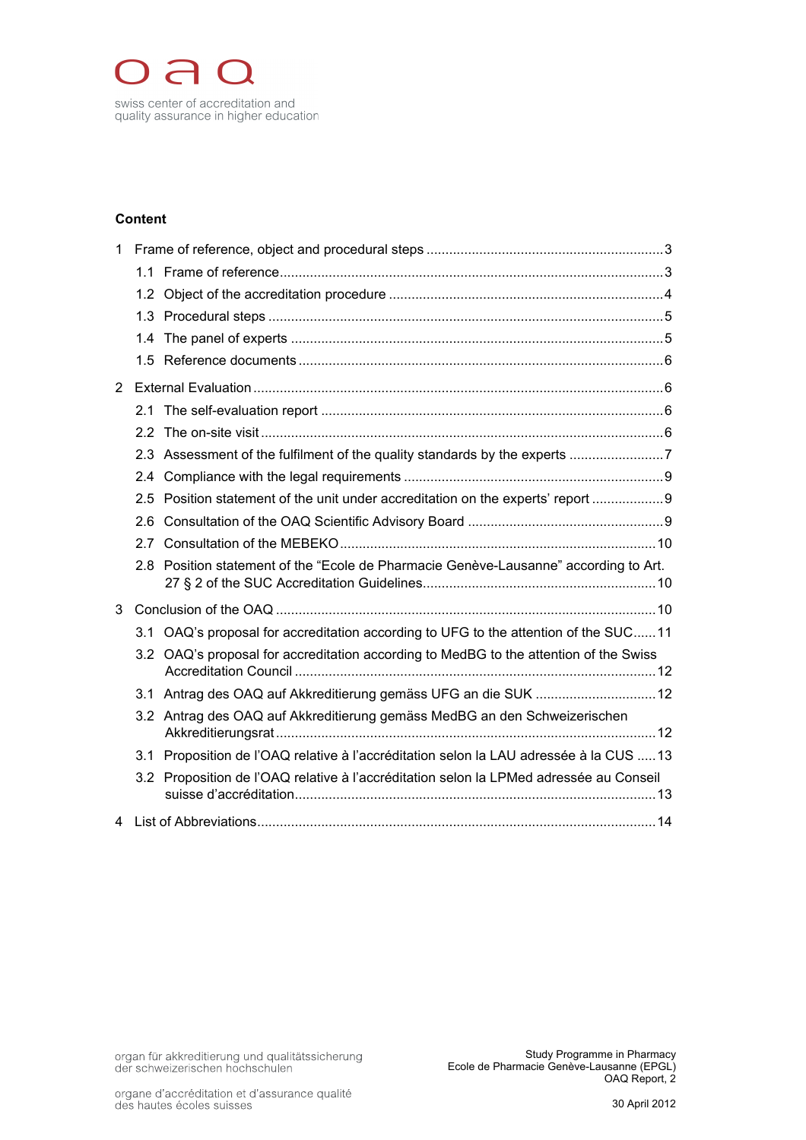

# **Content**

| 1 |     |                                                                                       |  |  |
|---|-----|---------------------------------------------------------------------------------------|--|--|
|   |     |                                                                                       |  |  |
|   |     |                                                                                       |  |  |
|   |     |                                                                                       |  |  |
|   |     |                                                                                       |  |  |
|   |     |                                                                                       |  |  |
| 2 |     |                                                                                       |  |  |
|   |     |                                                                                       |  |  |
|   |     |                                                                                       |  |  |
|   |     |                                                                                       |  |  |
|   |     |                                                                                       |  |  |
|   |     | 2.5 Position statement of the unit under accreditation on the experts' report  9      |  |  |
|   | 2.6 |                                                                                       |  |  |
|   | 2.7 |                                                                                       |  |  |
|   |     | 2.8 Position statement of the "Ecole de Pharmacie Genève-Lausanne" according to Art.  |  |  |
| 3 |     |                                                                                       |  |  |
|   |     | 3.1 OAQ's proposal for accreditation according to UFG to the attention of the SUC11   |  |  |
|   |     | 3.2 OAQ's proposal for accreditation according to MedBG to the attention of the Swiss |  |  |
|   |     | 3.1 Antrag des OAQ auf Akkreditierung gemäss UFG an die SUK  12                       |  |  |
|   |     | 3.2 Antrag des OAQ auf Akkreditierung gemäss MedBG an den Schweizerischen             |  |  |
|   | 3.1 | Proposition de l'OAQ relative à l'accréditation selon la LAU adressée à la CUS 13     |  |  |
|   | 3.2 | Proposition de l'OAQ relative à l'accréditation selon la LPMed adressée au Conseil    |  |  |
| 4 |     |                                                                                       |  |  |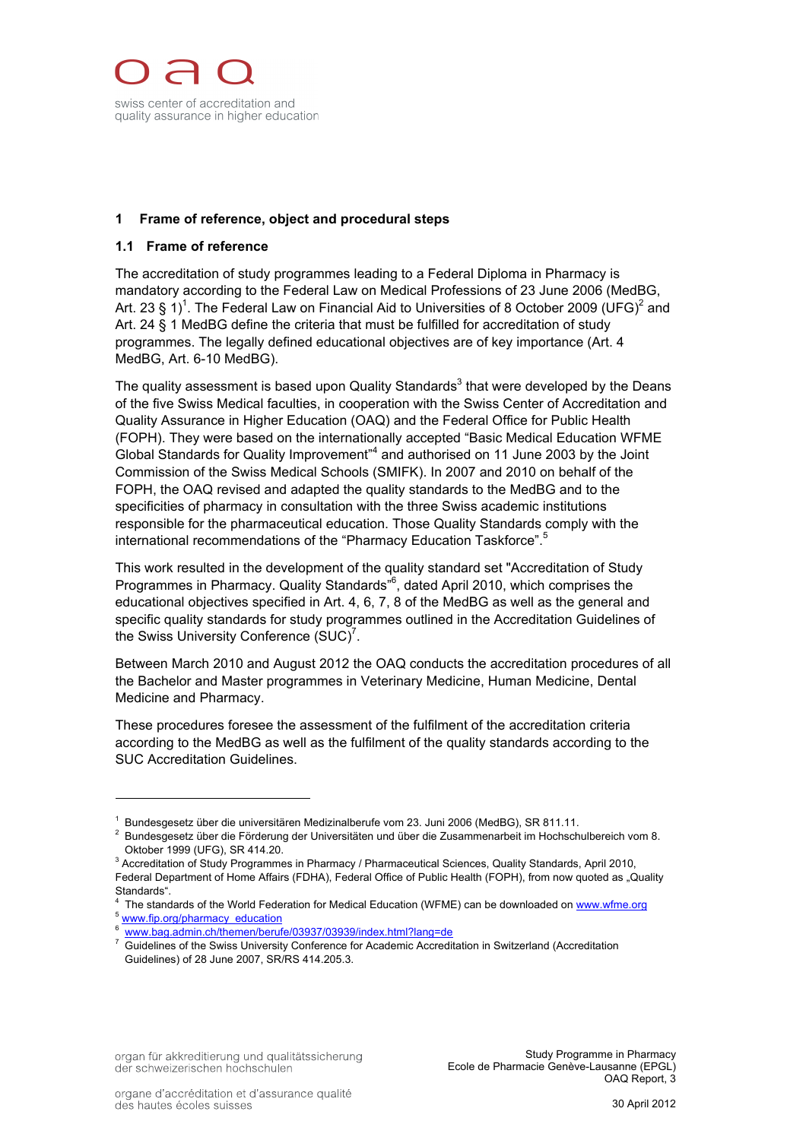

# **1 Frame of reference, object and procedural steps**

## **1.1 Frame of reference**

The accreditation of study programmes leading to a Federal Diploma in Pharmacy is mandatory according to the Federal Law on Medical Professions of 23 June 2006 (MedBG, Art. 23 § 1)<sup>1</sup>. The Federal Law on Financial Aid to Universities of 8 October 2009 (UFG)<sup>2</sup> and Art. 24 § 1 MedBG define the criteria that must be fulfilled for accreditation of study programmes. The legally defined educational objectives are of key importance (Art. 4 MedBG, Art. 6-10 MedBG).

The quality assessment is based upon Quality Standards<sup>3</sup> that were developed by the Deans of the five Swiss Medical faculties, in cooperation with the Swiss Center of Accreditation and Quality Assurance in Higher Education (OAQ) and the Federal Office for Public Health (FOPH). They were based on the internationally accepted "Basic Medical Education WFME Global Standards for Quality Improvement<sup>14</sup> and authorised on 11 June 2003 by the Joint Commission of the Swiss Medical Schools (SMIFK). In 2007 and 2010 on behalf of the FOPH, the OAQ revised and adapted the quality standards to the MedBG and to the specificities of pharmacy in consultation with the three Swiss academic institutions responsible for the pharmaceutical education. Those Quality Standards comply with the international recommendations of the "Pharmacy Education Taskforce".<sup>5</sup>

This work resulted in the development of the quality standard set "Accreditation of Study Programmes in Pharmacy. Quality Standards<sup>"6</sup>, dated April 2010, which comprises the educational objectives specified in Art. 4, 6, 7, 8 of the MedBG as well as the general and specific quality standards for study programmes outlined in the Accreditation Guidelines of the Swiss University Conference  $(SUC)^7$ .

Between March 2010 and August 2012 the OAQ conducts the accreditation procedures of all the Bachelor and Master programmes in Veterinary Medicine, Human Medicine, Dental Medicine and Pharmacy.

These procedures foresee the assessment of the fulfilment of the accreditation criteria according to the MedBG as well as the fulfilment of the quality standards according to the SUC Accreditation Guidelines.

<sup>&</sup>lt;sup>1</sup> Bundesgesetz über die universitären Medizinalberufe vom 23. Juni 2006 (MedBG), SR 811.11.

<sup>2</sup> Bundesgesetz über die Förderung der Universitäten und über die Zusammenarbeit im Hochschulbereich vom 8. Oktober 1999 (UFG), SR 414.20.

<sup>&</sup>lt;sup>3</sup> Accreditation of Study Programmes in Pharmacy / Pharmaceutical Sciences, Quality Standards, April 2010, Federal Department of Home Affairs (FDHA), Federal Office of Public Health (FOPH), from now quoted as "Quality Standards".

<sup>4</sup> The standards of the World Federation for Medical Education (WFME) can be downloaded on www.wfme.org

<sup>&</sup>lt;sup>5</sup> www.fip.org/pharmacy\_education 6 www.bag.admin.ch/themen/berufe/03937/03939/index.html?lang=de

<sup>7</sup> Guidelines of the Swiss University Conference for Academic Accreditation in Switzerland (Accreditation Guidelines) of 28 June 2007, SR/RS 414.205.3.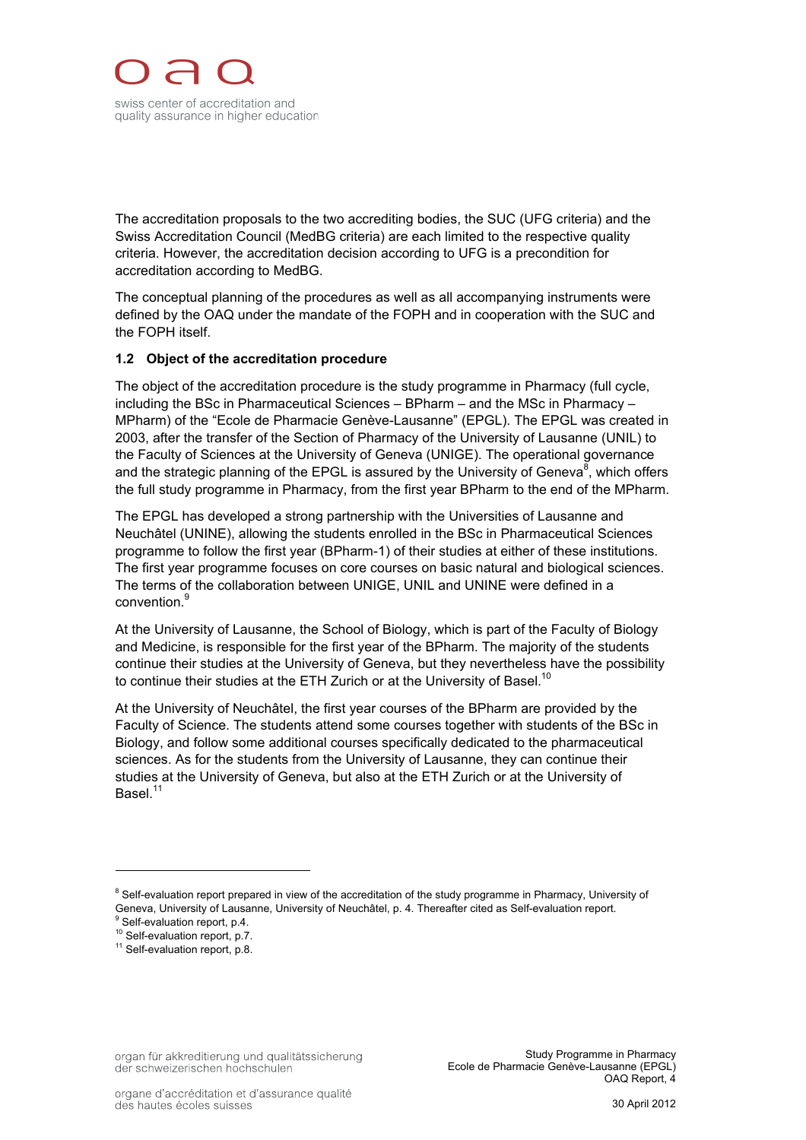The accreditation proposals to the two accrediting bodies, the SUC (UFG criteria) and the Swiss Accreditation Council (MedBG criteria) are each limited to the respective quality criteria. However, the accreditation decision according to UFG is a precondition for accreditation according to MedBG.

The conceptual planning of the procedures as well as all accompanying instruments were defined by the OAQ under the mandate of the FOPH and in cooperation with the SUC and the FOPH itself.

# **1.2 Object of the accreditation procedure**

The object of the accreditation procedure is the study programme in Pharmacy (full cycle, including the BSc in Pharmaceutical Sciences – BPharm – and the MSc in Pharmacy – MPharm) of the "Ecole de Pharmacie Genève-Lausanne" (EPGL). The EPGL was created in 2003, after the transfer of the Section of Pharmacy of the University of Lausanne (UNIL) to the Faculty of Sciences at the University of Geneva (UNIGE). The operational governance and the strategic planning of the EPGL is assured by the University of Geneva $^8$ , which offers the full study programme in Pharmacy, from the first year BPharm to the end of the MPharm.

The EPGL has developed a strong partnership with the Universities of Lausanne and Neuchâtel (UNINE), allowing the students enrolled in the BSc in Pharmaceutical Sciences programme to follow the first year (BPharm-1) of their studies at either of these institutions. The first year programme focuses on core courses on basic natural and biological sciences. The terms of the collaboration between UNIGE, UNIL and UNINE were defined in a convention.<sup>9</sup>

At the University of Lausanne, the School of Biology, which is part of the Faculty of Biology and Medicine, is responsible for the first year of the BPharm. The majority of the students continue their studies at the University of Geneva, but they nevertheless have the possibility to continue their studies at the ETH Zurich or at the University of Basel.<sup>10</sup>

At the University of Neuchâtel, the first year courses of the BPharm are provided by the Faculty of Science. The students attend some courses together with students of the BSc in Biology, and follow some additional courses specifically dedicated to the pharmaceutical sciences. As for the students from the University of Lausanne, they can continue their studies at the University of Geneva, but also at the ETH Zurich or at the University of Basel.<sup>11</sup>

<sup>&</sup>lt;sup>8</sup> Self-evaluation report prepared in view of the accreditation of the study programme in Pharmacy, University of Geneva, University of Lausanne, University of Neuchâtel, p. 4. Thereafter cited as Self-evaluation report.

<sup>&</sup>lt;sup>9</sup> Self-evaluation report, p.4.

<sup>&</sup>lt;sup>10</sup> Self-evaluation report, p.7.

<sup>&</sup>lt;sup>11</sup> Self-evaluation report, p.8.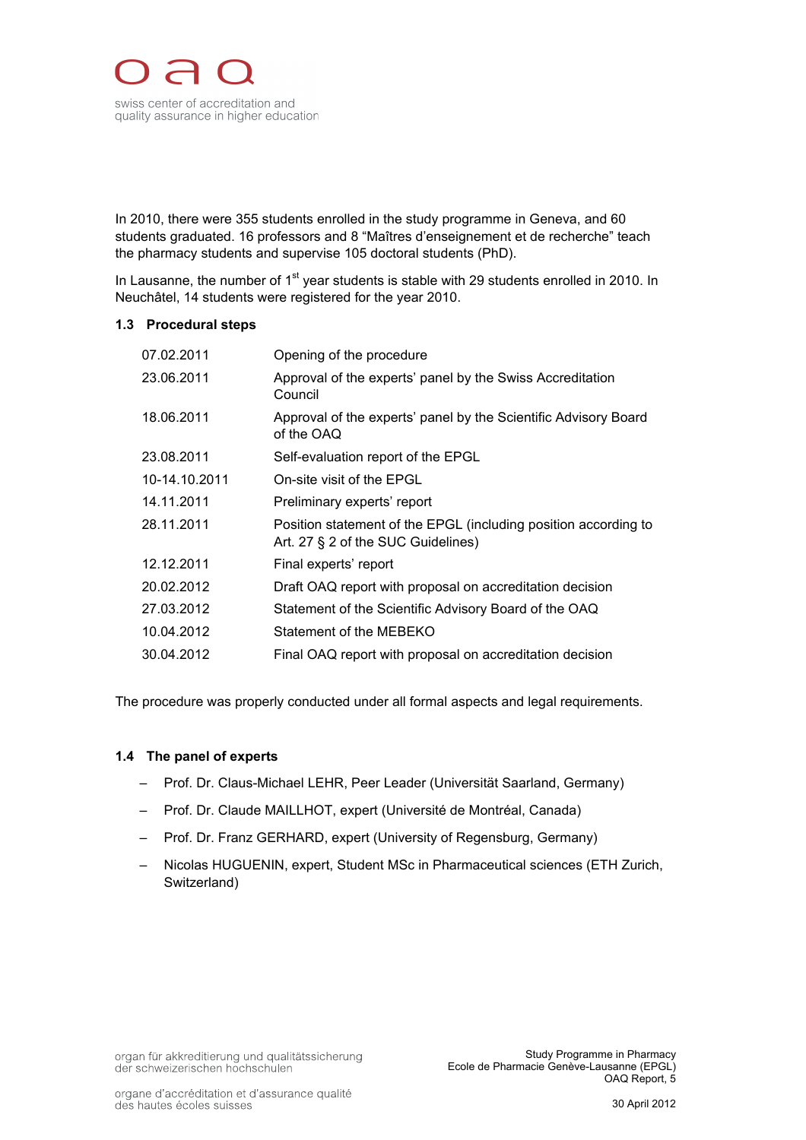

In 2010, there were 355 students enrolled in the study programme in Geneva, and 60 students graduated. 16 professors and 8 "Maîtres d'enseignement et de recherche" teach the pharmacy students and supervise 105 doctoral students (PhD).

In Lausanne, the number of  $1<sup>st</sup>$  year students is stable with 29 students enrolled in 2010. In Neuchâtel, 14 students were registered for the year 2010.

#### **1.3 Procedural steps**

| Opening of the procedure                                                                              |
|-------------------------------------------------------------------------------------------------------|
| Approval of the experts' panel by the Swiss Accreditation<br>Council                                  |
| Approval of the experts' panel by the Scientific Advisory Board<br>of the OAQ                         |
| Self-evaluation report of the EPGL                                                                    |
| On-site visit of the EPGL                                                                             |
| Preliminary experts' report                                                                           |
| Position statement of the EPGL (including position according to<br>Art. 27 § 2 of the SUC Guidelines) |
| Final experts' report                                                                                 |
| Draft OAQ report with proposal on accreditation decision                                              |
| Statement of the Scientific Advisory Board of the OAQ                                                 |
| Statement of the MEBEKO                                                                               |
| Final OAQ report with proposal on accreditation decision                                              |
|                                                                                                       |

The procedure was properly conducted under all formal aspects and legal requirements.

## **1.4 The panel of experts**

- Prof. Dr. Claus-Michael LEHR, Peer Leader (Universität Saarland, Germany)
- Prof. Dr. Claude MAILLHOT, expert (Université de Montréal, Canada)
- Prof. Dr. Franz GERHARD, expert (University of Regensburg, Germany)
- Nicolas HUGUENIN, expert, Student MSc in Pharmaceutical sciences (ETH Zurich, Switzerland)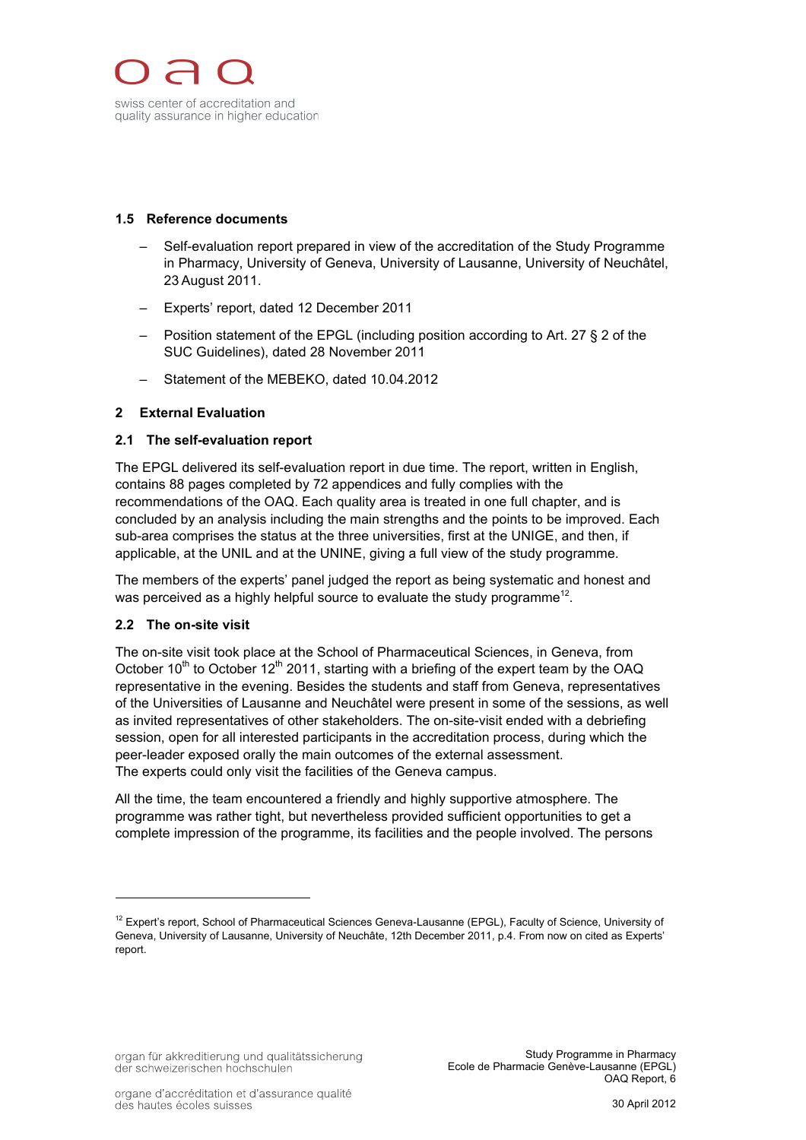## **1.5 Reference documents**

- Self-evaluation report prepared in view of the accreditation of the Study Programme in Pharmacy, University of Geneva, University of Lausanne, University of Neuchâtel, 23 August 2011.
- Experts' report, dated 12 December 2011
- Position statement of the EPGL (including position according to Art. 27 § 2 of the SUC Guidelines), dated 28 November 2011
- Statement of the MEBEKO, dated 10.04.2012

# **2 External Evaluation**

#### **2.1 The self-evaluation report**

The EPGL delivered its self-evaluation report in due time. The report, written in English, contains 88 pages completed by 72 appendices and fully complies with the recommendations of the OAQ. Each quality area is treated in one full chapter, and is concluded by an analysis including the main strengths and the points to be improved. Each sub-area comprises the status at the three universities, first at the UNIGE, and then, if applicable, at the UNIL and at the UNINE, giving a full view of the study programme.

The members of the experts' panel judged the report as being systematic and honest and was perceived as a highly helpful source to evaluate the study programme<sup>12</sup>.

## **2.2 The on-site visit**

 $\overline{a}$ 

The on-site visit took place at the School of Pharmaceutical Sciences, in Geneva, from October 10<sup>th</sup> to October 12<sup>th</sup> 2011, starting with a briefing of the expert team by the OAQ representative in the evening. Besides the students and staff from Geneva, representatives of the Universities of Lausanne and Neuchâtel were present in some of the sessions, as well as invited representatives of other stakeholders. The on-site-visit ended with a debriefing session, open for all interested participants in the accreditation process, during which the peer-leader exposed orally the main outcomes of the external assessment. The experts could only visit the facilities of the Geneva campus.

All the time, the team encountered a friendly and highly supportive atmosphere. The programme was rather tight, but nevertheless provided sufficient opportunities to get a complete impression of the programme, its facilities and the people involved. The persons

<sup>&</sup>lt;sup>12</sup> Expert's report, School of Pharmaceutical Sciences Geneva-Lausanne (EPGL), Faculty of Science, University of Geneva, University of Lausanne, University of Neuchâte, 12th December 2011, p.4. From now on cited as Experts' report.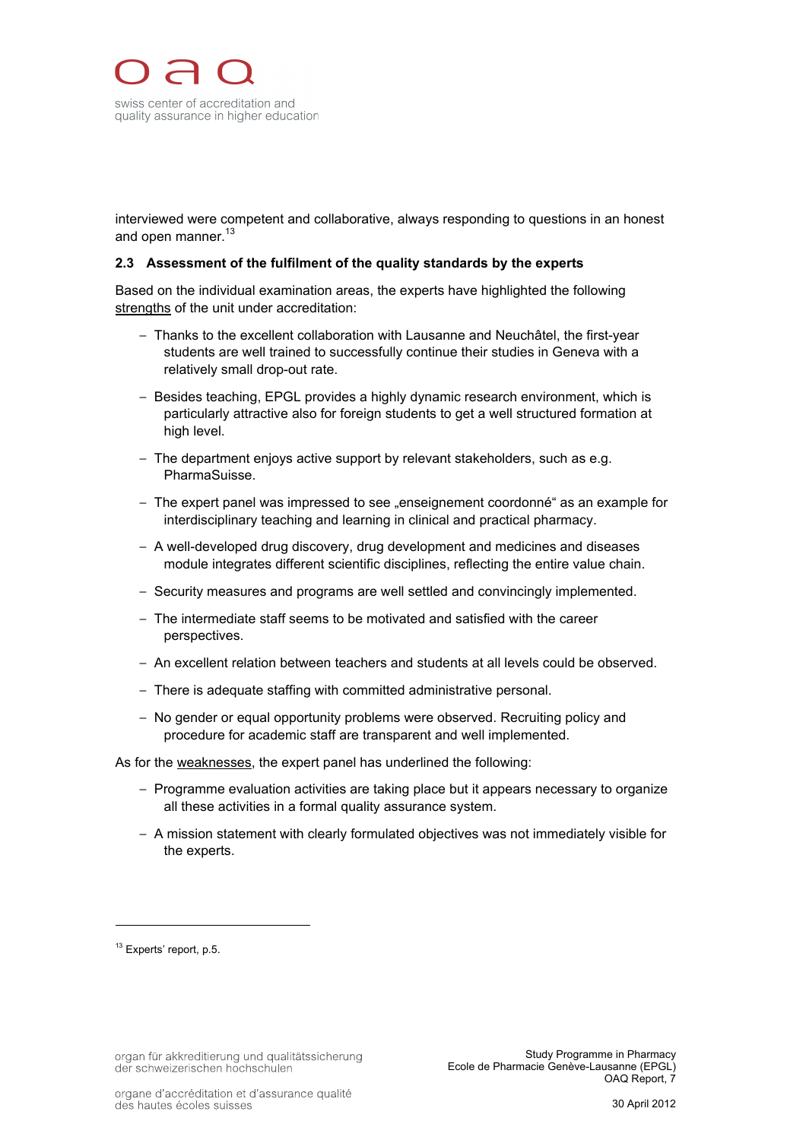interviewed were competent and collaborative, always responding to questions in an honest and open manner.<sup>13</sup>

#### **2.3 Assessment of the fulfilment of the quality standards by the experts**

Based on the individual examination areas, the experts have highlighted the following strengths of the unit under accreditation:

- Thanks to the excellent collaboration with Lausanne and Neuchâtel, the first-year students are well trained to successfully continue their studies in Geneva with a relatively small drop-out rate.
- Besides teaching, EPGL provides a highly dynamic research environment, which is particularly attractive also for foreign students to get a well structured formation at high level.
- $-$  The department enjoys active support by relevant stakeholders, such as e.g. PharmaSuisse.
- The expert panel was impressed to see "enseignement coordonné" as an example for interdisciplinary teaching and learning in clinical and practical pharmacy.
- A well-developed drug discovery, drug development and medicines and diseases module integrates different scientific disciplines, reflecting the entire value chain.
- Security measures and programs are well settled and convincingly implemented.
- The intermediate staff seems to be motivated and satisfied with the career perspectives.
- An excellent relation between teachers and students at all levels could be observed.
- There is adequate staffing with committed administrative personal.
- No gender or equal opportunity problems were observed. Recruiting policy and procedure for academic staff are transparent and well implemented.

As for the weaknesses, the expert panel has underlined the following:

- Programme evaluation activities are taking place but it appears necessary to organize all these activities in a formal quality assurance system.
- A mission statement with clearly formulated objectives was not immediately visible for the experts.

<sup>&</sup>lt;sup>13</sup> Experts' report, p.5.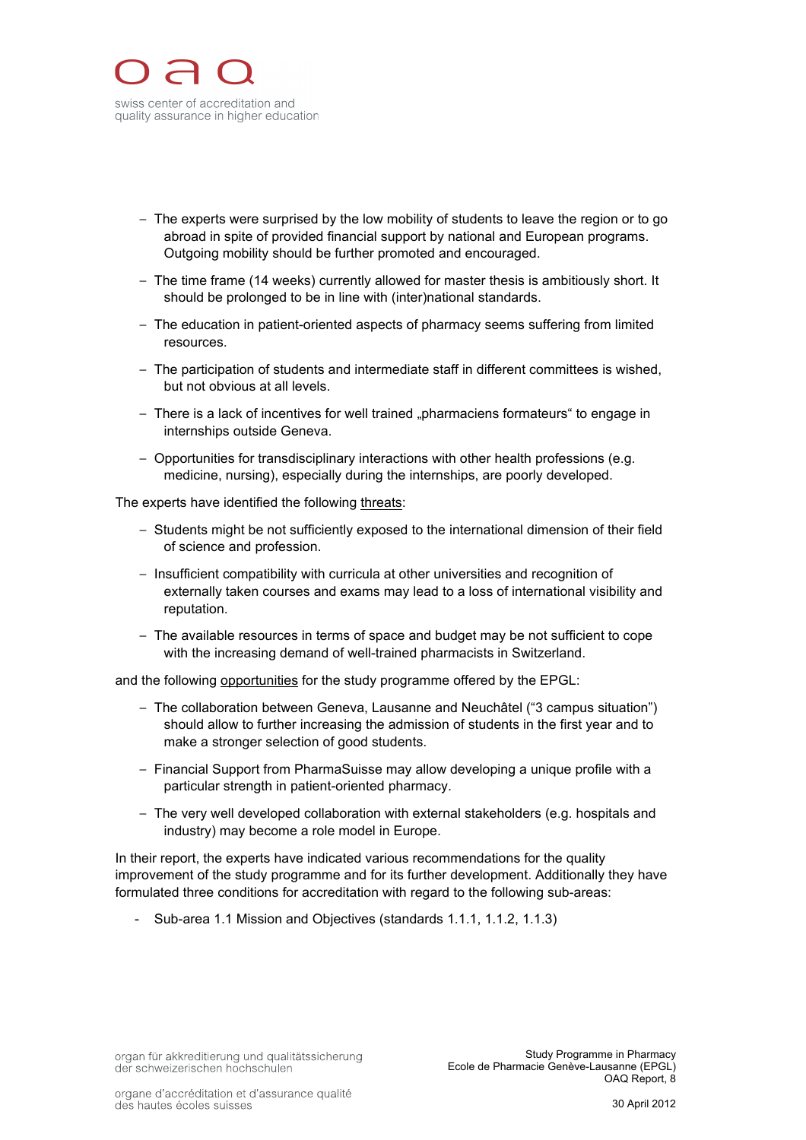

- The experts were surprised by the low mobility of students to leave the region or to go abroad in spite of provided financial support by national and European programs. Outgoing mobility should be further promoted and encouraged.
- The time frame (14 weeks) currently allowed for master thesis is ambitiously short. It should be prolonged to be in line with (inter)national standards.
- The education in patient-oriented aspects of pharmacy seems suffering from limited resources.
- The participation of students and intermediate staff in different committees is wished, but not obvious at all levels.
- There is a lack of incentives for well trained "pharmaciens formateurs" to engage in internships outside Geneva.
- Opportunities for transdisciplinary interactions with other health professions (e.g. medicine, nursing), especially during the internships, are poorly developed.

The experts have identified the following threats:

- Students might be not sufficiently exposed to the international dimension of their field of science and profession.
- ! Insufficient compatibility with curricula at other universities and recognition of externally taken courses and exams may lead to a loss of international visibility and reputation.
- The available resources in terms of space and budget may be not sufficient to cope with the increasing demand of well-trained pharmacists in Switzerland.

and the following opportunities for the study programme offered by the EPGL:

- ! The collaboration between Geneva, Lausanne and Neuchâtel ("3 campus situation") should allow to further increasing the admission of students in the first year and to make a stronger selection of good students.
- Financial Support from PharmaSuisse may allow developing a unique profile with a particular strength in patient-oriented pharmacy.
- The very well developed collaboration with external stakeholders (e.g. hospitals and industry) may become a role model in Europe.

In their report, the experts have indicated various recommendations for the quality improvement of the study programme and for its further development. Additionally they have formulated three conditions for accreditation with regard to the following sub-areas:

- Sub-area 1.1 Mission and Objectives (standards 1.1.1, 1.1.2, 1.1.3)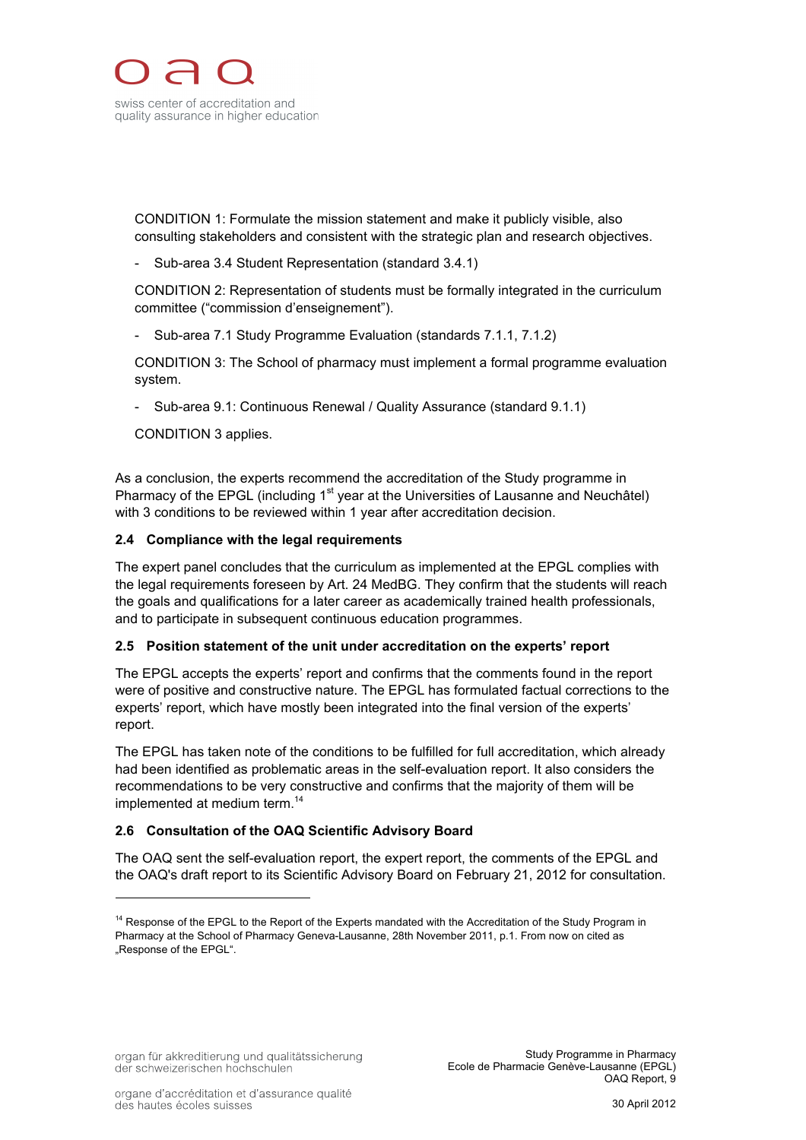

CONDITION 1: Formulate the mission statement and make it publicly visible, also consulting stakeholders and consistent with the strategic plan and research objectives.

- Sub-area 3.4 Student Representation (standard 3.4.1)

CONDITION 2: Representation of students must be formally integrated in the curriculum committee ("commission d'enseignement").

- Sub-area 7.1 Study Programme Evaluation (standards 7.1.1, 7.1.2)

CONDITION 3: The School of pharmacy must implement a formal programme evaluation system.

- Sub-area 9.1: Continuous Renewal / Quality Assurance (standard 9.1.1)

CONDITION 3 applies.

As a conclusion, the experts recommend the accreditation of the Study programme in Pharmacy of the EPGL (including 1<sup>st</sup> year at the Universities of Lausanne and Neuchâtel) with 3 conditions to be reviewed within 1 year after accreditation decision.

#### **2.4 Compliance with the legal requirements**

The expert panel concludes that the curriculum as implemented at the EPGL complies with the legal requirements foreseen by Art. 24 MedBG. They confirm that the students will reach the goals and qualifications for a later career as academically trained health professionals, and to participate in subsequent continuous education programmes.

## **2.5 Position statement of the unit under accreditation on the experts' report**

The EPGL accepts the experts' report and confirms that the comments found in the report were of positive and constructive nature. The EPGL has formulated factual corrections to the experts' report, which have mostly been integrated into the final version of the experts' report.

The EPGL has taken note of the conditions to be fulfilled for full accreditation, which already had been identified as problematic areas in the self-evaluation report. It also considers the recommendations to be very constructive and confirms that the majority of them will be implemented at medium term. 14

## **2.6 Consultation of the OAQ Scientific Advisory Board**

The OAQ sent the self-evaluation report, the expert report, the comments of the EPGL and the OAQ's draft report to its Scientific Advisory Board on February 21, 2012 for consultation.

<sup>&</sup>lt;sup>14</sup> Response of the EPGL to the Report of the Experts mandated with the Accreditation of the Study Program in Pharmacy at the School of Pharmacy Geneva-Lausanne, 28th November 2011, p.1. From now on cited as .Response of the EPGL".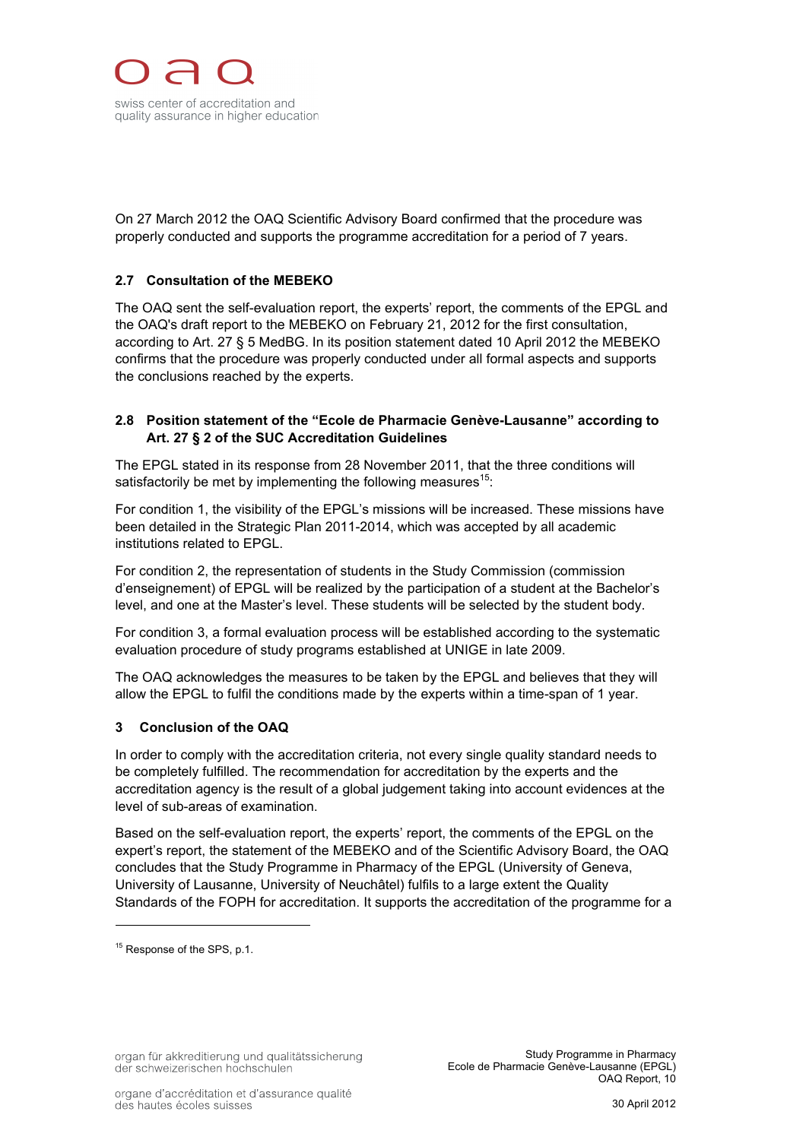On 27 March 2012 the OAQ Scientific Advisory Board confirmed that the procedure was properly conducted and supports the programme accreditation for a period of 7 years.

# **2.7 Consultation of the MEBEKO**

The OAQ sent the self-evaluation report, the experts' report, the comments of the EPGL and the OAQ's draft report to the MEBEKO on February 21, 2012 for the first consultation, according to Art. 27 § 5 MedBG. In its position statement dated 10 April 2012 the MEBEKO confirms that the procedure was properly conducted under all formal aspects and supports the conclusions reached by the experts.

# **2.8 Position statement of the "Ecole de Pharmacie Genève-Lausanne" according to Art. 27 § 2 of the SUC Accreditation Guidelines**

The EPGL stated in its response from 28 November 2011, that the three conditions will satisfactorily be met by implementing the following measures $15$ :

For condition 1, the visibility of the EPGL's missions will be increased. These missions have been detailed in the Strategic Plan 2011-2014, which was accepted by all academic institutions related to EPGL.

For condition 2, the representation of students in the Study Commission (commission d'enseignement) of EPGL will be realized by the participation of a student at the Bachelor's level, and one at the Master's level. These students will be selected by the student body.

For condition 3, a formal evaluation process will be established according to the systematic evaluation procedure of study programs established at UNIGE in late 2009.

The OAQ acknowledges the measures to be taken by the EPGL and believes that they will allow the EPGL to fulfil the conditions made by the experts within a time-span of 1 year.

## **3 Conclusion of the OAQ**

In order to comply with the accreditation criteria, not every single quality standard needs to be completely fulfilled. The recommendation for accreditation by the experts and the accreditation agency is the result of a global judgement taking into account evidences at the level of sub-areas of examination.

Based on the self-evaluation report, the experts' report, the comments of the EPGL on the expert's report, the statement of the MEBEKO and of the Scientific Advisory Board, the OAQ concludes that the Study Programme in Pharmacy of the EPGL (University of Geneva, University of Lausanne, University of Neuchâtel) fulfils to a large extent the Quality Standards of the FOPH for accreditation. It supports the accreditation of the programme for a

<sup>&</sup>lt;sup>15</sup> Response of the SPS, p.1.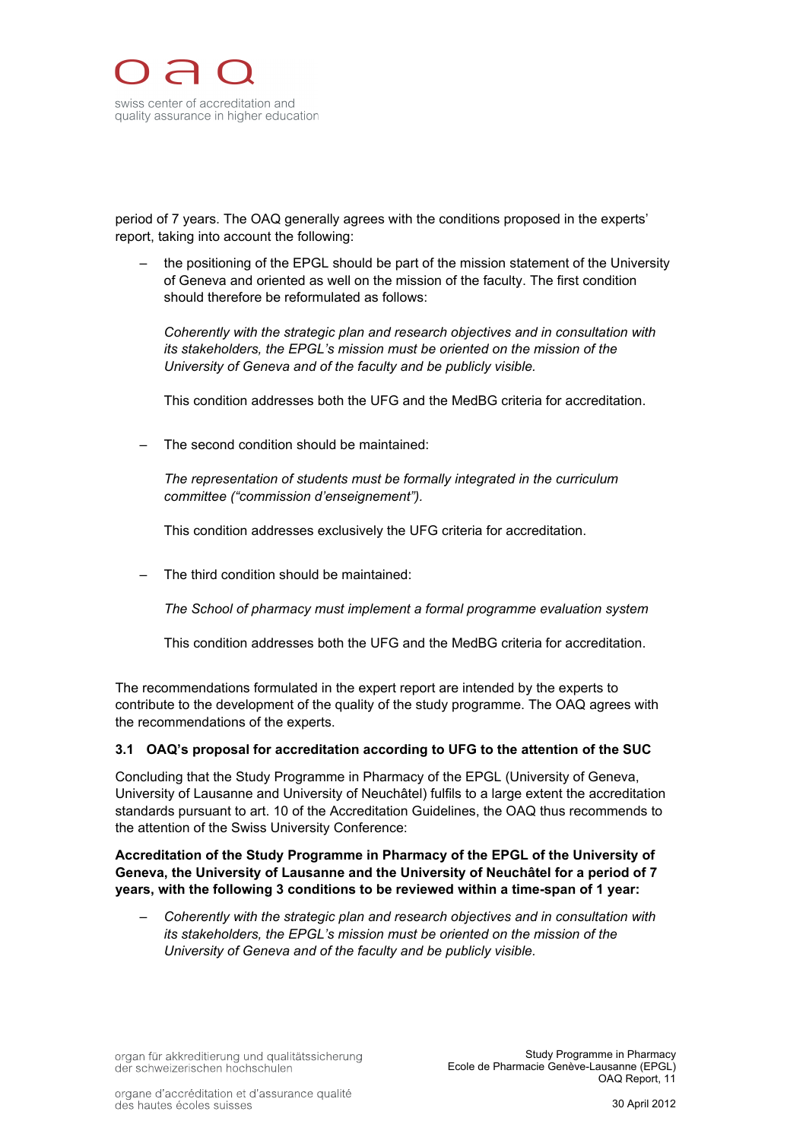

period of 7 years. The OAQ generally agrees with the conditions proposed in the experts' report, taking into account the following:

the positioning of the EPGL should be part of the mission statement of the University of Geneva and oriented as well on the mission of the faculty. The first condition should therefore be reformulated as follows:

*Coherently with the strategic plan and research objectives and in consultation with its stakeholders, the EPGL's mission must be oriented on the mission of the University of Geneva and of the faculty and be publicly visible.*

This condition addresses both the UFG and the MedBG criteria for accreditation.

– The second condition should be maintained:

*The representation of students must be formally integrated in the curriculum committee ("commission d'enseignement").*

This condition addresses exclusively the UFG criteria for accreditation.

– The third condition should be maintained:

*The School of pharmacy must implement a formal programme evaluation system*

This condition addresses both the UFG and the MedBG criteria for accreditation.

The recommendations formulated in the expert report are intended by the experts to contribute to the development of the quality of the study programme. The OAQ agrees with the recommendations of the experts.

#### **3.1 OAQ's proposal for accreditation according to UFG to the attention of the SUC**

Concluding that the Study Programme in Pharmacy of the EPGL (University of Geneva, University of Lausanne and University of Neuchâtel) fulfils to a large extent the accreditation standards pursuant to art. 10 of the Accreditation Guidelines, the OAQ thus recommends to the attention of the Swiss University Conference:

**Accreditation of the Study Programme in Pharmacy of the EPGL of the University of Geneva, the University of Lausanne and the University of Neuchâtel for a period of 7 years, with the following 3 conditions to be reviewed within a time-span of 1 year:**

– *Coherently with the strategic plan and research objectives and in consultation with its stakeholders, the EPGL's mission must be oriented on the mission of the University of Geneva and of the faculty and be publicly visible.*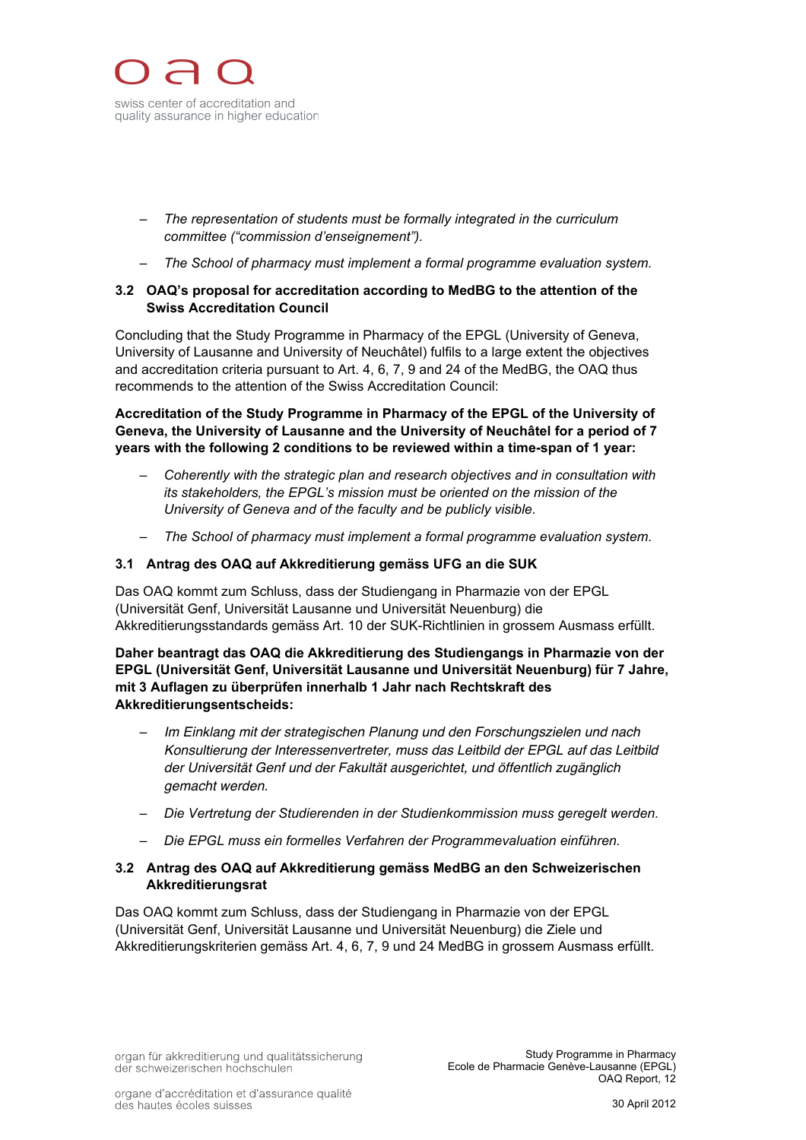

- *The representation of students must be formally integrated in the curriculum committee ("commission d'enseignement").*
- *The School of pharmacy must implement a formal programme evaluation system.*

# **3.2 OAQ's proposal for accreditation according to MedBG to the attention of the Swiss Accreditation Council**

Concluding that the Study Programme in Pharmacy of the EPGL (University of Geneva, University of Lausanne and University of Neuchâtel) fulfils to a large extent the objectives and accreditation criteria pursuant to Art. 4, 6, 7, 9 and 24 of the MedBG, the OAQ thus recommends to the attention of the Swiss Accreditation Council:

**Accreditation of the Study Programme in Pharmacy of the EPGL of the University of Geneva, the University of Lausanne and the University of Neuchâtel for a period of 7 years with the following 2 conditions to be reviewed within a time-span of 1 year:**

- *Coherently with the strategic plan and research objectives and in consultation with its stakeholders, the EPGL's mission must be oriented on the mission of the University of Geneva and of the faculty and be publicly visible.*
- *The School of pharmacy must implement a formal programme evaluation system.*

## **3.1 Antrag des OAQ auf Akkreditierung gemäss UFG an die SUK**

Das OAQ kommt zum Schluss, dass der Studiengang in Pharmazie von der EPGL (Universität Genf, Universität Lausanne und Universität Neuenburg) die Akkreditierungsstandards gemäss Art. 10 der SUK-Richtlinien in grossem Ausmass erfüllt.

**Daher beantragt das OAQ die Akkreditierung des Studiengangs in Pharmazie von der EPGL (Universität Genf, Universität Lausanne und Universität Neuenburg) für 7 Jahre, mit 3 Auflagen zu überprüfen innerhalb 1 Jahr nach Rechtskraft des Akkreditierungsentscheids:**

- *Im Einklang mit der strategischen Planung und den Forschungszielen und nach Konsultierung der Interessenvertreter, muss das Leitbild der EPGL auf das Leitbild der Universität Genf und der Fakultät ausgerichtet, und öffentlich zugänglich gemacht werden.*
- *Die Vertretung der Studierenden in der Studienkommission muss geregelt werden.*
- *Die EPGL muss ein formelles Verfahren der Programmevaluation einführen.*

## **3.2 Antrag des OAQ auf Akkreditierung gemäss MedBG an den Schweizerischen Akkreditierungsrat**

Das OAQ kommt zum Schluss, dass der Studiengang in Pharmazie von der EPGL (Universität Genf, Universität Lausanne und Universität Neuenburg) die Ziele und Akkreditierungskriterien gemäss Art. 4, 6, 7, 9 und 24 MedBG in grossem Ausmass erfüllt.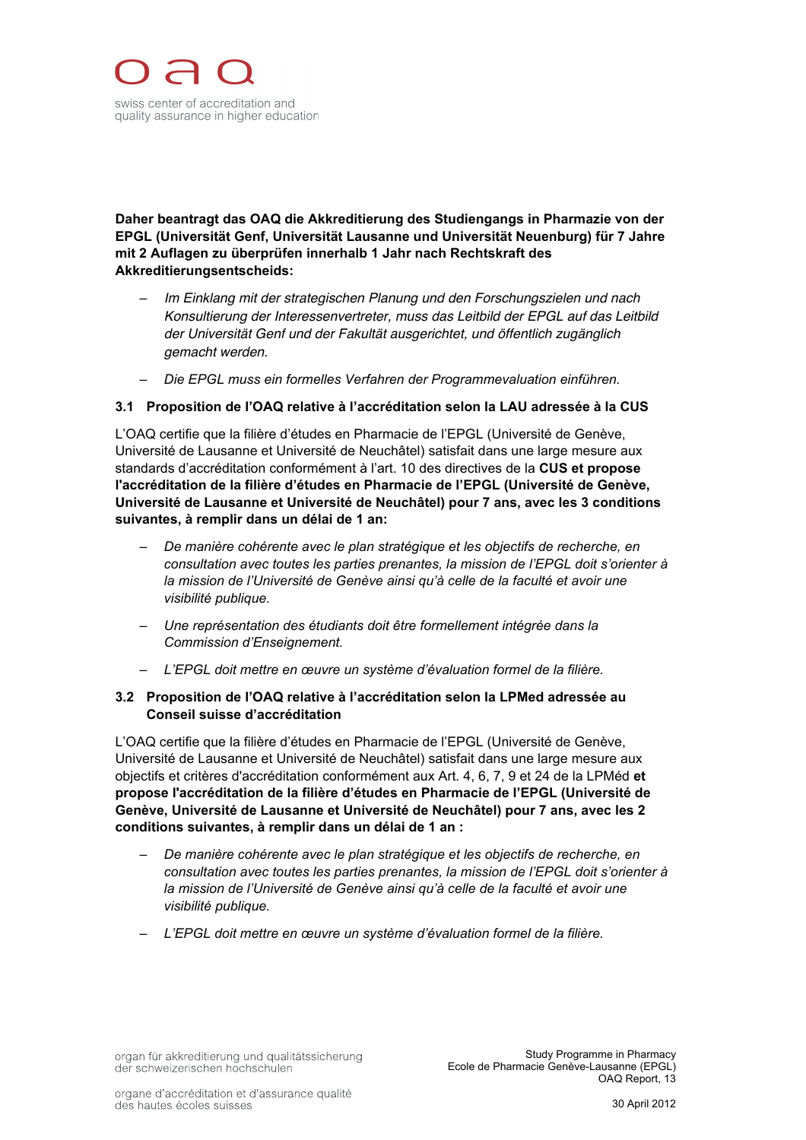

**Daher beantragt das OAQ die Akkreditierung des Studiengangs in Pharmazie von der EPGL (Universität Genf, Universität Lausanne und Universität Neuenburg) für 7 Jahre mit 2 Auflagen zu überprüfen innerhalb 1 Jahr nach Rechtskraft des Akkreditierungsentscheids:**

- *Im Einklang mit der strategischen Planung und den Forschungszielen und nach Konsultierung der Interessenvertreter, muss das Leitbild der EPGL auf das Leitbild der Universität Genf und der Fakultät ausgerichtet, und öffentlich zugänglich gemacht werden.*
- *Die EPGL muss ein formelles Verfahren der Programmevaluation einführen.*

## **3.1 Proposition de l'OAQ relative à l'accréditation selon la LAU adressée à la CUS**

L'OAQ certifie que la filière d'études en Pharmacie de l'EPGL (Université de Genève, Université de Lausanne et Université de Neuchâtel) satisfait dans une large mesure aux standards d'accréditation conformément à l'art. 10 des directives de la **CUS et propose l'accréditation de la filière d'études en Pharmacie de l'EPGL (Université de Genève, Université de Lausanne et Université de Neuchâtel) pour 7 ans, avec les 3 conditions suivantes, à remplir dans un délai de 1 an:**

- *De manière cohérente avec le plan stratégique et les objectifs de recherche, en consultation avec toutes les parties prenantes, la mission de l'EPGL doit s'orienter à*  la mission de l'Université de Genève ainsi qu'à celle de la faculté et avoir une *visibilité publique.*
- *Une représentation des étudiants doit être formellement intégrée dans la Commission d'Enseignement.*
- *L'EPGL doit mettre en œuvre un système d'évaluation formel de la filière.*

## **3.2 Proposition de l'OAQ relative à l'accréditation selon la LPMed adressée au Conseil suisse d'accréditation**

L'OAQ certifie que la filière d'études en Pharmacie de l'EPGL (Université de Genève, Université de Lausanne et Université de Neuchâtel) satisfait dans une large mesure aux objectifs et critères d'accréditation conformément aux Art. 4, 6, 7, 9 et 24 de la LPMéd **et propose l'accréditation de la filière d'études en Pharmacie de l'EPGL (Université de Genève, Université de Lausanne et Université de Neuchâtel) pour 7 ans, avec les 2 conditions suivantes, à remplir dans un délai de 1 an :**

- *De manière cohérente avec le plan stratégique et les objectifs de recherche, en consultation avec toutes les parties prenantes, la mission de l'EPGL doit s'orienter à*  la mission de l'Université de Genève ainsi qu'à celle de la faculté et avoir une *visibilité publique.*
- *L'EPGL doit mettre en œuvre un système d'évaluation formel de la filière.*